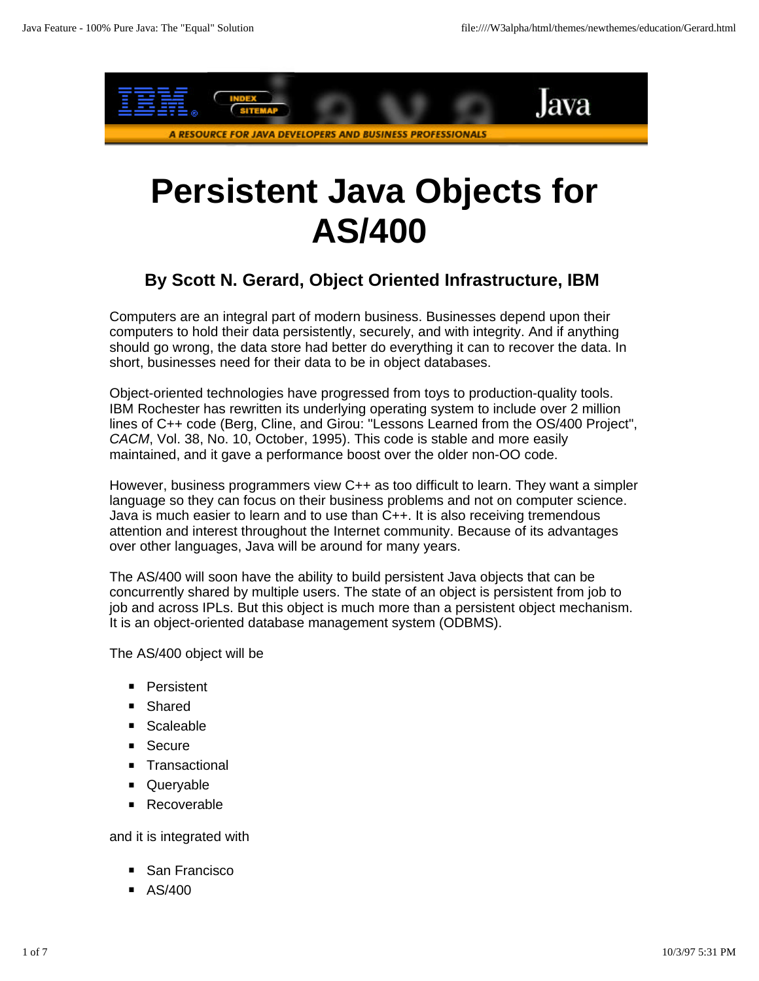

# **Persistent Java Objects for AS/400**

#### **By Scott N. Gerard, Object Oriented Infrastructure, IBM**

Computers are an integral part of modern business. Businesses depend upon their computers to hold their data persistently, securely, and with integrity. And if anything should go wrong, the data store had better do everything it can to recover the data. In short, businesses need for their data to be in object databases.

Object-oriented technologies have progressed from toys to production-quality tools. IBM Rochester has rewritten its underlying operating system to include over 2 million lines of C++ code (Berg, Cline, and Girou: "Lessons Learned from the OS/400 Project", *CACM*, Vol. 38, No. 10, October, 1995). This code is stable and more easily maintained, and it gave a performance boost over the older non-OO code.

However, business programmers view C++ as too difficult to learn. They want a simpler language so they can focus on their business problems and not on computer science. Java is much easier to learn and to use than C++. It is also receiving tremendous attention and interest throughout the Internet community. Because of its advantages over other languages, Java will be around for many years.

The AS/400 will soon have the ability to build persistent Java objects that can be concurrently shared by multiple users. The state of an object is persistent from job to job and across IPLs. But this object is much more than a persistent object mechanism. It is an object-oriented database management system (ODBMS).

The AS/400 object will be

- **·** Persistent
- **·** Shared
- **·** Scaleable
- **· Secure**
- **· Transactional**
- **·** Queryable
- **·** Recoverable

and it is integrated with

- **·** San Francisco
- **·** AS/400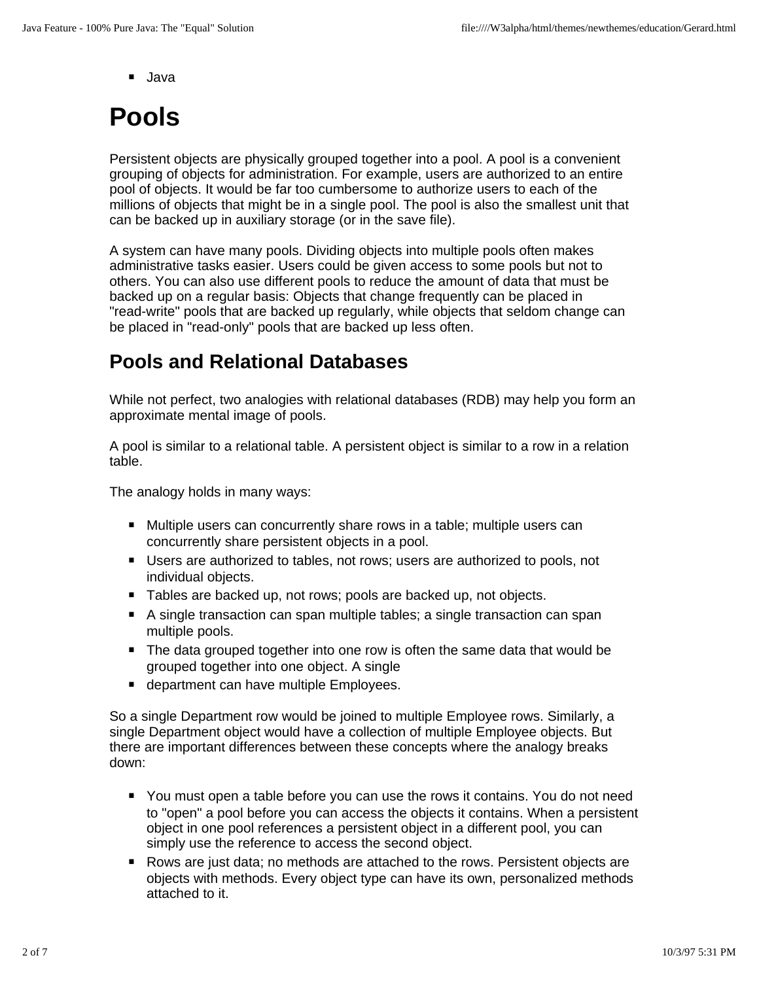**·** Java

## **Pools**

Persistent objects are physically grouped together into a pool. A pool is a convenient grouping of objects for administration. For example, users are authorized to an entire pool of objects. It would be far too cumbersome to authorize users to each of the millions of objects that might be in a single pool. The pool is also the smallest unit that can be backed up in auxiliary storage (or in the save file).

A system can have many pools. Dividing objects into multiple pools often makes administrative tasks easier. Users could be given access to some pools but not to others. You can also use different pools to reduce the amount of data that must be backed up on a regular basis: Objects that change frequently can be placed in "read-write" pools that are backed up regularly, while objects that seldom change can be placed in "read-only" pools that are backed up less often.

### **Pools and Relational Databases**

While not perfect, two analogies with relational databases (RDB) may help you form an approximate mental image of pools.

A pool is similar to a relational table. A persistent object is similar to a row in a relation table.

The analogy holds in many ways:

- **·** Multiple users can concurrently share rows in a table; multiple users can concurrently share persistent objects in a pool.
- Users are authorized to tables, not rows; users are authorized to pools, not individual objects individual objects.
- Tables are backed up, not rows; pools are backed up, not objects.
- **·** ables are basiled applied to the policies are basiled applied transaction can span <br> **A** single transaction can span multiple tables; a single transaction can span multiple pools.
- The data grouped together into one row is often the same data that would be<br>**The data grouped together into one object** A single grouped together into one object. A single
- department can have multiple Employees.

So a single Department row would be joined to multiple Employee rows. Similarly, a single Department object would have a collection of multiple Employee objects. But there are important differences between these concepts where the analogy breaks down:

- You must open a table before you can use the rows it contains. You do not need<br>to "eneel" a peel before you can access the ebiects it contains. When a persisten to "open" a pool before you can access the objects it contains. When a persistent object in one pool references a persistent object in a different pool, you can simply use the reference to access the second object.
- Rows are just data; no methods are attached to the rows. Persistent objects are objects are attached to the rows. Persistent objects are objects with methods. Every object type can have its own, personalized methods attached to it.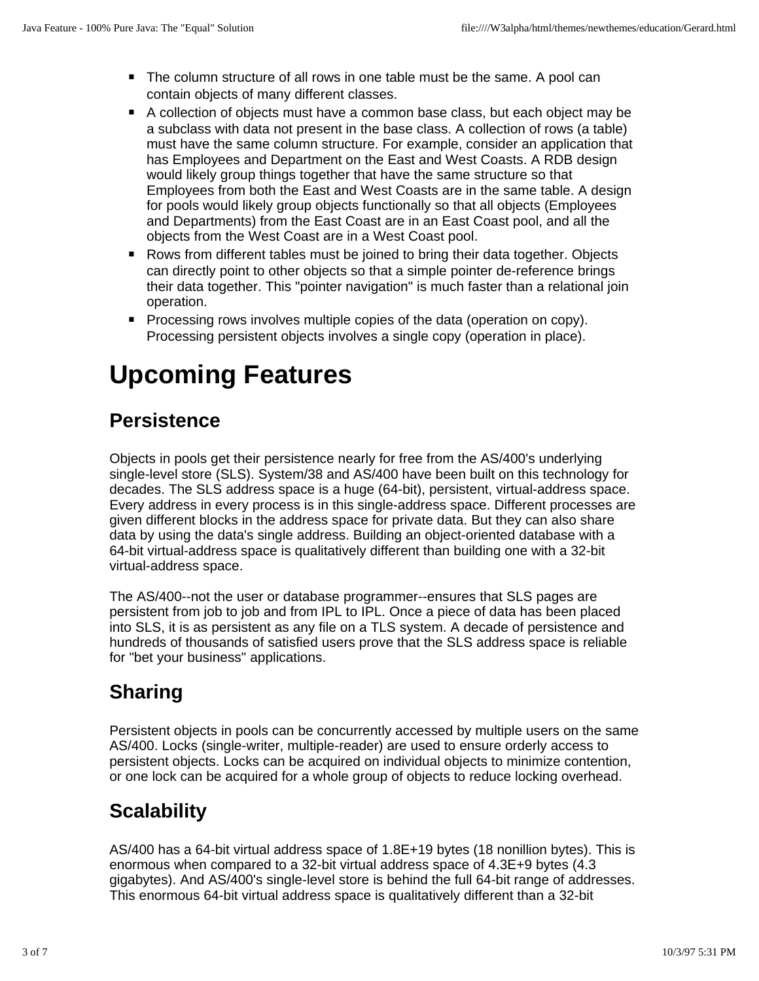- **·** The column structure of all rows in one table must be the same. A pool can contain objects of many different classes.
- **•** A collection of objects must have a common base class, but each object may be<br>• A cubeless with data not present in the base class. A collection of rows (a table) a subclass with data not present in the base class. A collection of rows (a table) must have the same column structure. For example, consider an application that has Employees and Department on the East and West Coasts. A RDB design would likely group things together that have the same structure so that Employees from both the East and West Coasts are in the same table. A design for pools would likely group objects functionally so that all objects (Employees and Departments) from the East Coast are in an East Coast pool, and all the objects from the West Coast are in a West Coast pool.
- Rows from different tables must be joined to bring their data together. Objects<br>can directly point to other objects so that a simple pointer de reference brings. can directly point to other objects so that a simple pointer de-reference brings their data together. This "pointer navigation" is much faster than a relational join operation.
- Processing rows involves multiple copies of the data (operation on copy).<br>**Processing persistent objects involves** a single copy (operation in place). Processing persistent objects involves a single copy (operation in place).

## **Upcoming Features**

### **Persistence**

Objects in pools get their persistence nearly for free from the AS/400's underlying single-level store (SLS). System/38 and AS/400 have been built on this technology for decades. The SLS address space is a huge (64-bit), persistent, virtual-address space. Every address in every process is in this single-address space. Different processes are given different blocks in the address space for private data. But they can also share data by using the data's single address. Building an object-oriented database with a 64-bit virtual-address space is qualitatively different than building one with a 32-bit virtual-address space.

The AS/400--not the user or database programmer--ensures that SLS pages are persistent from job to job and from IPL to IPL. Once a piece of data has been placed into SLS, it is as persistent as any file on a TLS system. A decade of persistence and hundreds of thousands of satisfied users prove that the SLS address space is reliable for "bet your business" applications.

### **Sharing**

Persistent objects in pools can be concurrently accessed by multiple users on the same AS/400. Locks (single-writer, multiple-reader) are used to ensure orderly access to persistent objects. Locks can be acquired on individual objects to minimize contention, or one lock can be acquired for a whole group of objects to reduce locking overhead.

### **Scalability**

AS/400 has a 64-bit virtual address space of 1.8E+19 bytes (18 nonillion bytes). This is enormous when compared to a 32-bit virtual address space of 4.3E+9 bytes (4.3 gigabytes). And AS/400's single-level store is behind the full 64-bit range of addresses. This enormous 64-bit virtual address space is qualitatively different than a 32-bit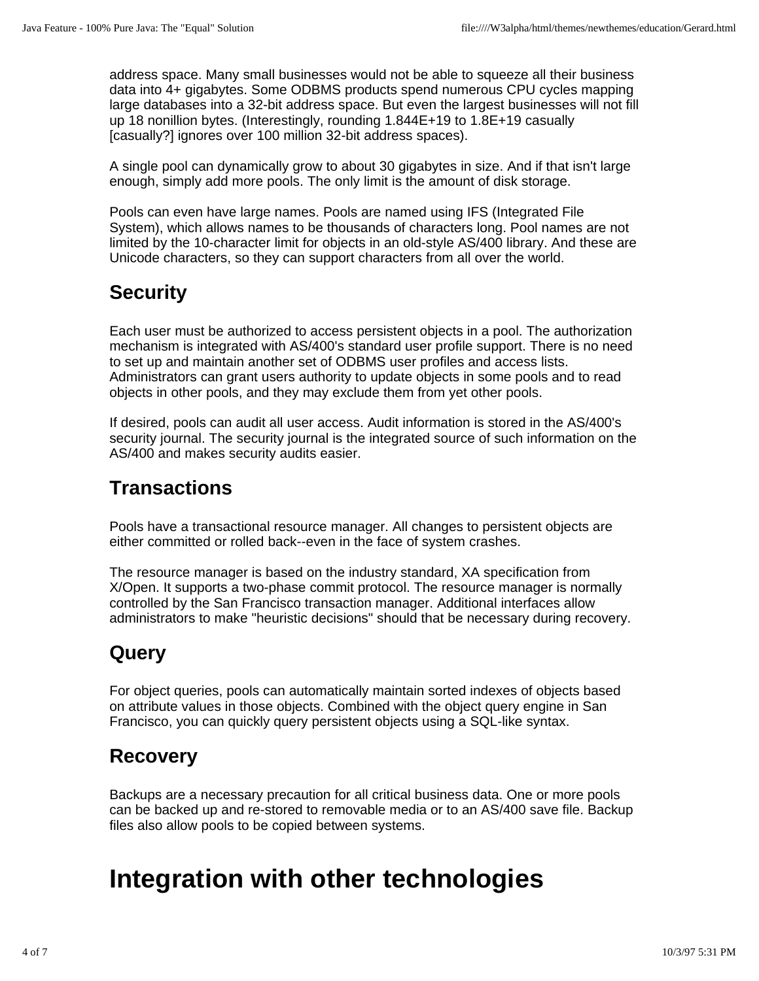address space. Many small businesses would not be able to squeeze all their business data into 4+ gigabytes. Some ODBMS products spend numerous CPU cycles mapping large databases into a 32-bit address space. But even the largest businesses will not fill up 18 nonillion bytes. (Interestingly, rounding 1.844E+19 to 1.8E+19 casually [casually?] ignores over 100 million 32-bit address spaces).

A single pool can dynamically grow to about 30 gigabytes in size. And if that isn't large enough, simply add more pools. The only limit is the amount of disk storage.

Pools can even have large names. Pools are named using IFS (Integrated File System), which allows names to be thousands of characters long. Pool names are not limited by the 10-character limit for objects in an old-style AS/400 library. And these are Unicode characters, so they can support characters from all over the world.

### **Security**

Each user must be authorized to access persistent objects in a pool. The authorization mechanism is integrated with AS/400's standard user profile support. There is no need to set up and maintain another set of ODBMS user profiles and access lists. Administrators can grant users authority to update objects in some pools and to read objects in other pools, and they may exclude them from yet other pools.

If desired, pools can audit all user access. Audit information is stored in the AS/400's security journal. The security journal is the integrated source of such information on the AS/400 and makes security audits easier.

### **Transactions**

Pools have a transactional resource manager. All changes to persistent objects are either committed or rolled back--even in the face of system crashes.

The resource manager is based on the industry standard, XA specification from X/Open. It supports a two-phase commit protocol. The resource manager is normally controlled by the San Francisco transaction manager. Additional interfaces allow administrators to make "heuristic decisions" should that be necessary during recovery.

### **Query**

For object queries, pools can automatically maintain sorted indexes of objects based on attribute values in those objects. Combined with the object query engine in San Francisco, you can quickly query persistent objects using a SQL-like syntax.

### **Recovery**

Backups are a necessary precaution for all critical business data. One or more pools can be backed up and re-stored to removable media or to an AS/400 save file. Backup files also allow pools to be copied between systems.

### **Integration with other technologies**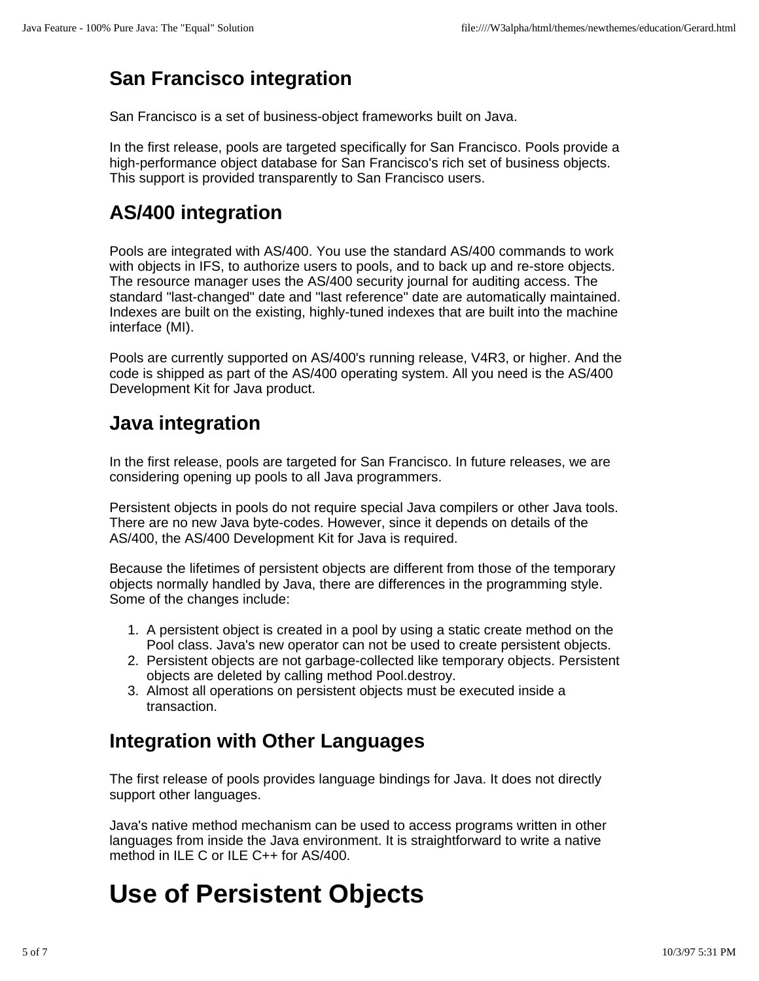### **San Francisco integration**

San Francisco is a set of business-object frameworks built on Java.

In the first release, pools are targeted specifically for San Francisco. Pools provide a high-performance object database for San Francisco's rich set of business objects. This support is provided transparently to San Francisco users.

### **AS/400 integration**

Pools are integrated with AS/400. You use the standard AS/400 commands to work with objects in IFS, to authorize users to pools, and to back up and re-store objects. The resource manager uses the AS/400 security journal for auditing access. The standard "last-changed" date and "last reference" date are automatically maintained. Indexes are built on the existing, highly-tuned indexes that are built into the machine interface (MI).

Pools are currently supported on AS/400's running release, V4R3, or higher. And the code is shipped as part of the AS/400 operating system. All you need is the AS/400 Development Kit for Java product.

### **Java integration**

In the first release, pools are targeted for San Francisco. In future releases, we are considering opening up pools to all Java programmers.

Persistent objects in pools do not require special Java compilers or other Java tools. There are no new Java byte-codes. However, since it depends on details of the AS/400, the AS/400 Development Kit for Java is required.

Because the lifetimes of persistent objects are different from those of the temporary objects normally handled by Java, there are differences in the programming style. Some of the changes include:

- 1. A persistent object is created in a pool by using a static create method on the Pool class. Java's new operator can not be used to create persistent objects.
- 2. Persistent objects are not garbage-collected like temporary objects. Persistent objects are deleted by calling method Pool.destroy.
- 3. Almost all operations on persistent objects must be executed inside a transaction.

### **Integration with Other Languages**

The first release of pools provides language bindings for Java. It does not directly support other languages.

Java's native method mechanism can be used to access programs written in other languages from inside the Java environment. It is straightforward to write a native method in ILE C or ILE C++ for AS/400.

### **Use of Persistent Objects**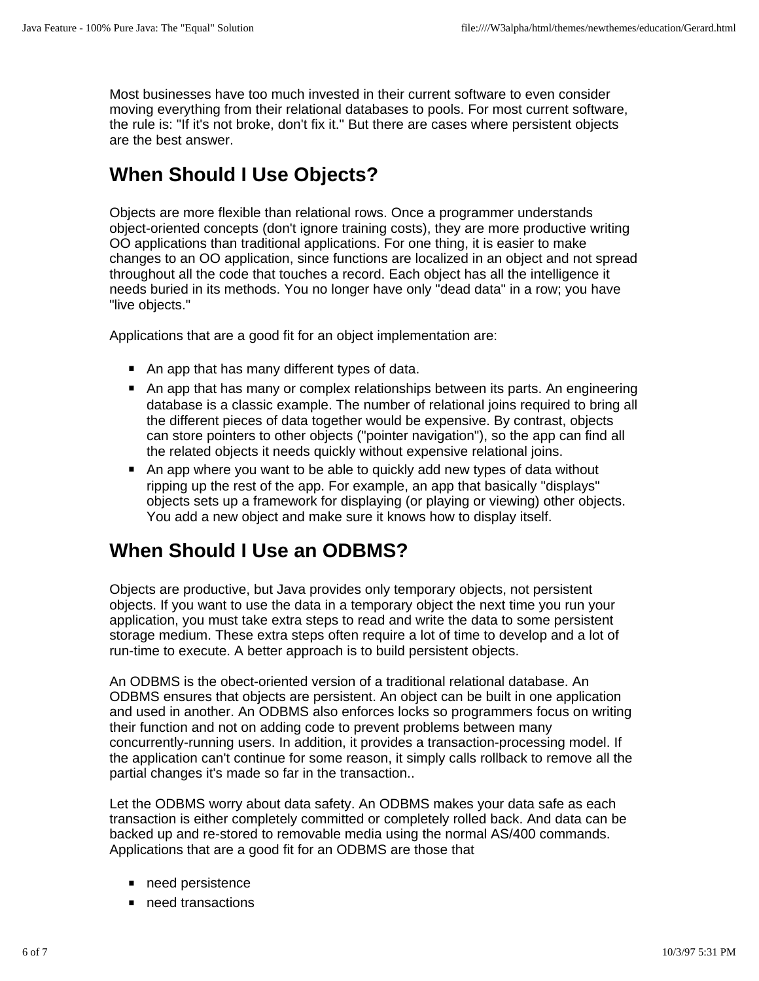Most businesses have too much invested in their current software to even consider moving everything from their relational databases to pools. For most current software, the rule is: "If it's not broke, don't fix it." But there are cases where persistent objects are the best answer.

### **When Should I Use Objects?**

Objects are more flexible than relational rows. Once a programmer understands object-oriented concepts (don't ignore training costs), they are more productive writing OO applications than traditional applications. For one thing, it is easier to make changes to an OO application, since functions are localized in an object and not spread throughout all the code that touches a record. Each object has all the intelligence it needs buried in its methods. You no longer have only "dead data" in a row; you have "live objects."

Applications that are a good fit for an object implementation are:

- **·** An app that has many different types of data.
- An app that has many or complex relationships between its parts. An engineering<br>An app that has many or complex relationships between its parts. An engineering<br>database is a classic example. The number of relational joi database is a classic example. The number of relational joins required to bring all the different pieces of data together would be expensive. By contrast, objects can store pointers to other objects ("pointer navigation"), so the app can find all the related objects it needs quickly without expensive relational joins.
- An app where you want to be able to quickly add new types of data without<br>**■** An app where you want to be able to quickly add new types of data without ripping up the rest of the app. For example, an app that basically "displays" objects sets up a framework for displaying (or playing or viewing) other objects. You add a new object and make sure it knows how to display itself.

### **When Should I Use an ODBMS?**

Objects are productive, but Java provides only temporary objects, not persistent objects. If you want to use the data in a temporary object the next time you run your application, you must take extra steps to read and write the data to some persistent storage medium. These extra steps often require a lot of time to develop and a lot of run-time to execute. A better approach is to build persistent objects.

An ODBMS is the obect-oriented version of a traditional relational database. An ODBMS ensures that objects are persistent. An object can be built in one application and used in another. An ODBMS also enforces locks so programmers focus on writing their function and not on adding code to prevent problems between many concurrently-running users. In addition, it provides a transaction-processing model. If the application can't continue for some reason, it simply calls rollback to remove all the partial changes it's made so far in the transaction..

Let the ODBMS worry about data safety. An ODBMS makes your data safe as each transaction is either completely committed or completely rolled back. And data can be backed up and re-stored to removable media using the normal AS/400 commands. Applications that are a good fit for an ODBMS are those that

- **·** need persistence
- *heed* transactions